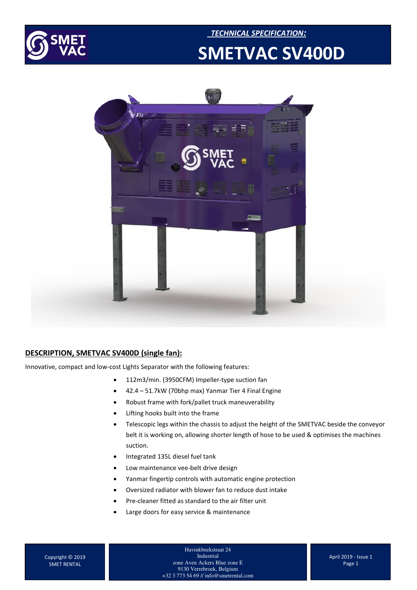

### *TECHNICAL SPECIFICATION:*   **SMETVAC SV400D**



#### **DESCRIPTION, SMETVAC SV400D (single fan):**

Innovative, compact and low-cost Lights Separator with the following features:

- 112m3/min. (3950CFM) Impeller-type suction fan
- 42.4 51.7kW (70bhp max) Yanmar Tier 4 Final Engine
- Robust frame with fork/pallet truck maneuverability
- Lifting hooks built into the frame
- Telescopic legs within the chassis to adjust the height of the SMETVAC beside the conveyor belt it is working on, allowing shorter length of hose to be used & optimises the machines suction.
- Integrated 135L diesel fuel tank
- Low maintenance vee-belt drive design
- Yanmar fingertip controls with automatic engine protection
- Oversized radiator with blower fan to reduce dust intake
- Pre-cleaner fitted as standard to the air filter unit
- Large doors for easy service & maintenance

Havinkbeekstraat 24 Industrial zone Aven Ackers Blue zone E 9130 Verrebroek, Belgium +32 3 773 54 69 // info@smetrental.com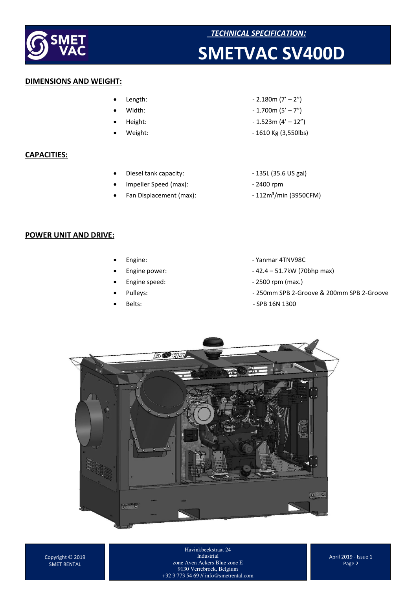

# **EXAMPLE 2018 CONTROLLER SMET**<br> **SMETVAC SV400D**

#### **DIMENSIONS AND WEIGHT:**

- 
- 
- 
- 

#### **CAPACITIES:**

- Diesel tank capacity:  $-$  135L (35.6 US gal)
- Impeller Speed (max): 2400 rpm
- 
- Length:  $-2.180m (7' 2'')$
- Width:  $1.700m (5' 7'')$
- $Height: -1.523m (4' 12'')$
- Weight: 1610 Kg (3,550lbs)
	-
	-
- Fan Displacement (max):  $-112m<sup>3</sup>/min$  (3950CFM)

#### **POWER UNIT AND DRIVE:**

- 
- 
- 
- 
- 
- Engine: The Contract of the Vanmar 4TNV98C
	- Engine power: 42.4 51.7kW (70bhp max)
	- Engine speed:  $-2500$  rpm (max.)
	- Pulleys: 250mm SPB 2-Groove & 200mm SPB 2-Groove
	- Belts: SPB 16N 1300



Copyright © 2019 SMET RENTAL

Havinkbeekstraat 24 Industrial zone Aven Ackers Blue zone E 9130 Verrebroek, Belgium +32 3 773 54 69 // info@smetrental.com

April 2019 - Issue 1 Page 2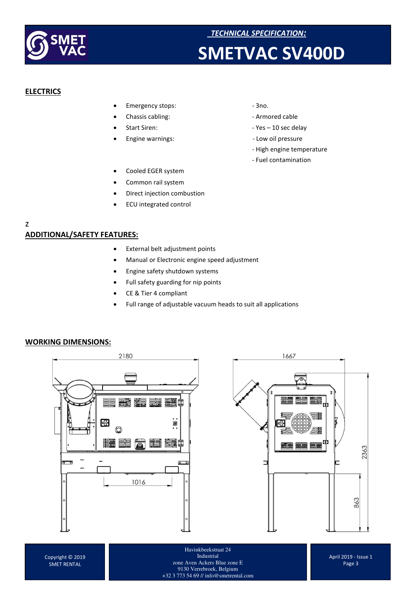

### **SMETVAC SV400D**

#### **ELECTRICS**

- Emergency stops:  $-3$ no.
- 
- 
- 
- 
- Chassis cabling:  $\qquad \qquad -$  Armored cable
- Start Siren: Yes 10 sec delay
- Engine warnings: Low oil pressure
	- High engine temperature
	- Fuel contamination

- Cooled EGER system
- Common rail system
- Direct injection combustion
- ECU integrated control

#### z **ADDITIONAL/SAFETY FEATURES:**

- External belt adjustment points
- Manual or Electronic engine speed adjustment
- Engine safety shutdown systems
- Full safety guarding for nip points
- CE & Tier 4 compliant
- Full range of adjustable vacuum heads to suit all applications

#### **WORKING DIMENSIONS:**





Havinkbeekstraat 24 Industrial zone Aven Ackers Blue zone E 9130 Verrebroek, Belgium +32 3 773 54 69 // info@smetrental.com

April 2019 - Issue 1 Page 3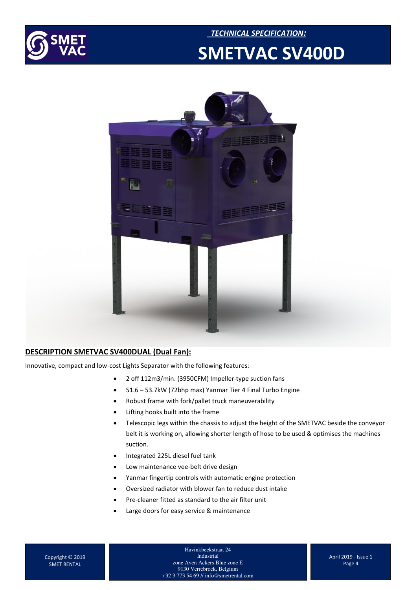





#### **DESCRIPTION SMETVAC SV400DUAL (Dual Fan):**

Innovative, compact and low-cost Lights Separator with the following features:

- 2 off 112m3/min. (3950CFM) Impeller-type suction fans
- 51.6 53.7kW (72bhp max) Yanmar Tier 4 Final Turbo Engine
- Robust frame with fork/pallet truck maneuverability
- Lifting hooks built into the frame
- Telescopic legs within the chassis to adjust the height of the SMETVAC beside the conveyor belt it is working on, allowing shorter length of hose to be used & optimises the machines suction.
- Integrated 225L diesel fuel tank
- Low maintenance vee-belt drive design
- Yanmar fingertip controls with automatic engine protection
- Oversized radiator with blower fan to reduce dust intake
- Pre-cleaner fitted as standard to the air filter unit
- Large doors for easy service & maintenance

Copyright © 2019 SMET RENTAL

Havinkbeekstraat 24 Industrial zone Aven Ackers Blue zone E 9130 Verrebroek, Belgium +32 3 773 54 69 // info@smetrental.com

April 2019 - Issue 1 Page 4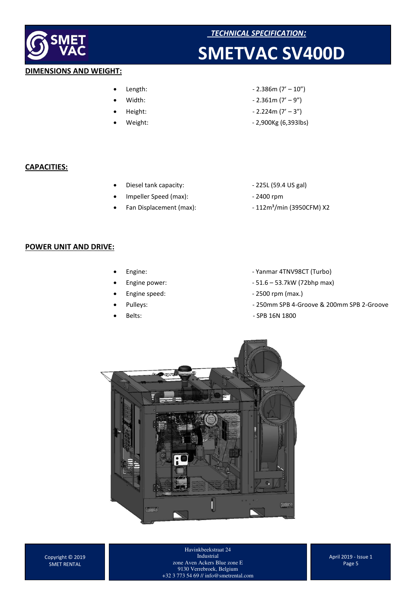

#### *TECHNICAL SPECIFICATION:*

### **SMETVAC SV400D**

### **DIMENSIONS AND WEIGHT:**

- 
- 
- 
- 
- $Length:$   $-2.386m (7' 10'')$
- Width:  $-2.361m (7' 9'')$
- $Height: 2.224m (7' 3'')$ 
	- Weight: 2,900Kg (6,393lbs)

#### **CAPACITIES:**

- Diesel tank capacity:  $-225L (59.4 US gal)$
- Impeller Speed (max): 2400 rpm
- 
- 
- 
- Fan Displacement (max):  $-112m<sup>3</sup>/min$  (3950CFM) X2

#### **POWER UNIT AND DRIVE:**

- 
- 
- 
- 
- 
- Engine: Case Contract Trumber of Turbo Assembly Parameter (Turbo)
	- Engine power: 51.6 53.7kW (72bhp max)
	- Engine speed:  $-$  2500 rpm (max.)
	- Pulleys: 250mm SPB 4-Groove & 200mm SPB 2-Groove
	- Belts: SPB 16N 1800



Havinkbeekstraat 24 Industrial zone Aven Ackers Blue zone E 9130 Verrebroek, Belgium +32 3 773 54 69 // info@smetrental.com